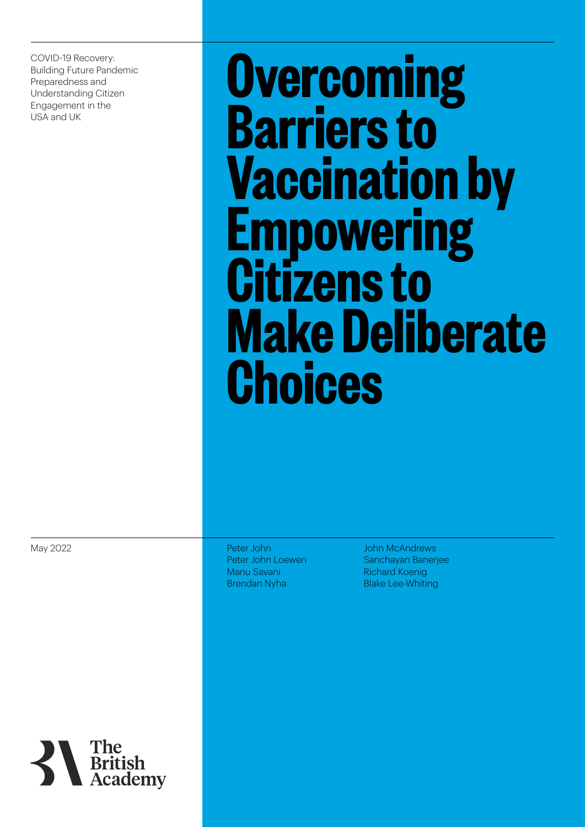COVID-19 Recovery: Building Future Pandemic Preparedness and Understanding Citizen Engagement in the USA and UK

**Overcoming Barriers to Vaccination by Empowering Citizens to Make Deliberate Choices**

May 2022

Peter John Peter John Loewen Manu Savani Brendan Nyha

John McAndrews Sanchayan Banerjee Richard Koenig Blake Lee-Whiting

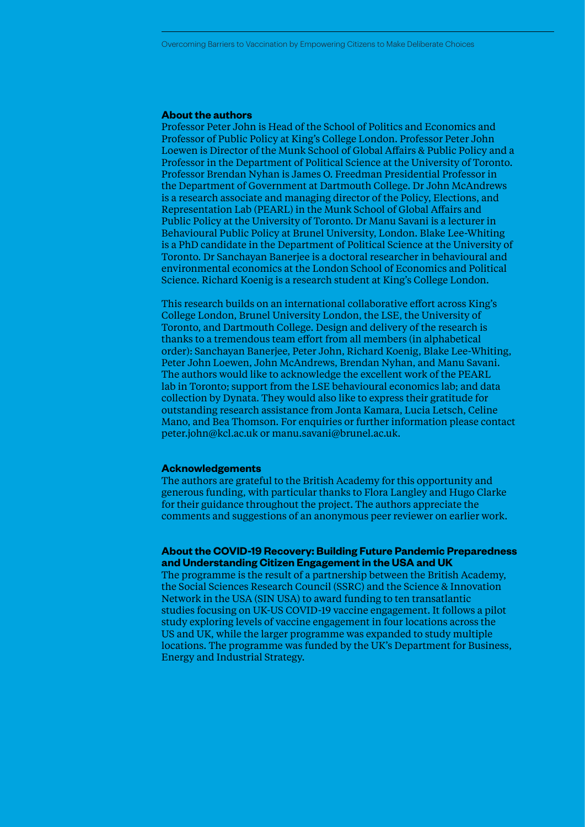#### **About the authors**

Professor Peter John is Head of the School of Politics and Economics and Professor of Public Policy at King's College London. Professor Peter John Loewen is Director of the Munk School of Global Affairs & Public Policy and a Professor in the Department of Political Science at the University of Toronto. Professor Brendan Nyhan is James O. Freedman Presidential Professor in the Department of Government at Dartmouth College. Dr John McAndrews is a research associate and managing director of the Policy, Elections, and Representation Lab (PEARL) in the Munk School of Global Affairs and Public Policy at the University of Toronto. Dr Manu Savani is a lecturer in Behavioural Public Policy at Brunel University, London. Blake Lee-Whiting is a PhD candidate in the Department of Political Science at the University of Toronto. Dr Sanchayan Banerjee is a doctoral researcher in behavioural and environmental economics at the London School of Economics and Political Science. Richard Koenig is a research student at King's College London.

This research builds on an international collaborative effort across King's College London, Brunel University London, the LSE, the University of Toronto, and Dartmouth College. Design and delivery of the research is thanks to a tremendous team effort from all members (in alphabetical order): Sanchayan Banerjee, Peter John, Richard Koenig, Blake Lee-Whiting, Peter John Loewen, John McAndrews, Brendan Nyhan, and Manu Savani. The authors would like to acknowledge the excellent work of the PEARL lab in Toronto; support from the LSE behavioural economics lab; and data collection by Dynata. They would also like to express their gratitude for outstanding research assistance from Jonta Kamara, Lucia Letsch, Celine Mano, and Bea Thomson. For enquiries or further information please contact peter.john@kcl.ac.uk or manu.savani@brunel.ac.uk.

#### **Acknowledgements**

The authors are grateful to the British Academy for this opportunity and generous funding, with particular thanks to Flora Langley and Hugo Clarke for their guidance throughout the project. The authors appreciate the comments and suggestions of an anonymous peer reviewer on earlier work.

### **About the COVID-19 Recovery: Building Future Pandemic Preparedness and Understanding Citizen Engagement in the USA and UK**

The programme is the result of a partnership between the British Academy, the Social Sciences Research Council (SSRC) and the Science & Innovation Network in the USA (SIN USA) to award funding to ten transatlantic studies focusing on UK-US COVID-19 vaccine engagement. It follows [a pilot](https://www.thebritishacademy.ac.uk/news/local-knowledge-and-engagement-could-be-key-in-covid-vaccine-take-up-effort-finds-new-research-by-academics-in-the-uk-and-us/)  [study](https://www.thebritishacademy.ac.uk/news/local-knowledge-and-engagement-could-be-key-in-covid-vaccine-take-up-effort-finds-new-research-by-academics-in-the-uk-and-us/) exploring levels of vaccine engagement in four locations across the US and UK, while the larger programme was expanded to study multiple locations. The programme was funded by the UK's Department for Business, Energy and Industrial Strategy.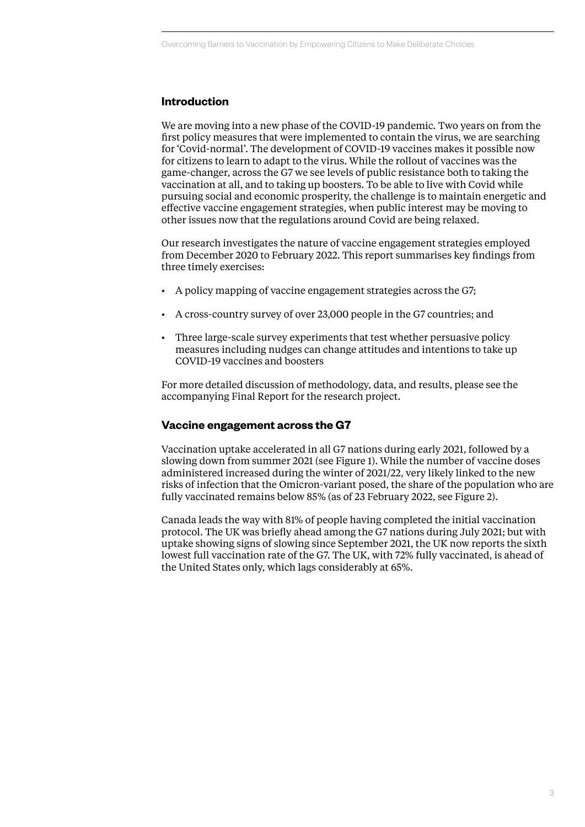# **Introduction**

We are moving into a new phase of the COVID-19 pandemic. Two years on from the first policy measures that were implemented to contain the virus, we are searching for 'Covid-normal'. The development of COVID-19 vaccines makes it possible now for citizens to learn to adapt to the virus. While the rollout of vaccines was the game-changer, across the G7 we see levels of public resistance both to taking the vaccination at all, and to taking up boosters. To be able to live with Covid while pursuing social and economic prosperity, the challenge is to maintain energetic and effective vaccine engagement strategies, when public interest may be moving to other issues now that the regulations around Covid are being relaxed.

Our research investigates the nature of vaccine engagement strategies employed from December 2020 to February 2022. This report summarises key findings from three timely exercises:

- A policy mapping of vaccine engagement strategies across the G7;
- A cross-country survey of over 23,000 people in the G7 countries; and
- Three large-scale survey experiments that test whether persuasive policy measures including nudges can change attitudes and intentions to take up COVID-19 vaccines and boosters

For more detailed discussion of methodology, data, and results, please see the accompanying Final Report for the research project.

# **Vaccine engagement across the G7**

Vaccination uptake accelerated in all G7 nations during early 2021, followed by a slowing down from summer 2021 (see Figure 1). While the number of vaccine doses administered increased during the winter of 2021/22, very likely linked to the new risks of infection that the Omicron-variant posed, the share of the population who are fully vaccinated remains below 85% (as of 23 February 2022, see Figure 2).

Canada leads the way with 81% of people having completed the initial vaccination protocol. The UK was briefly ahead among the G7 nations during July 2021; but with uptake showing signs of slowing since September 2021, the UK now reports the sixth lowest full vaccination rate of the G7. The UK, with 72% fully vaccinated, is ahead of the United States only, which lags considerably at 65%.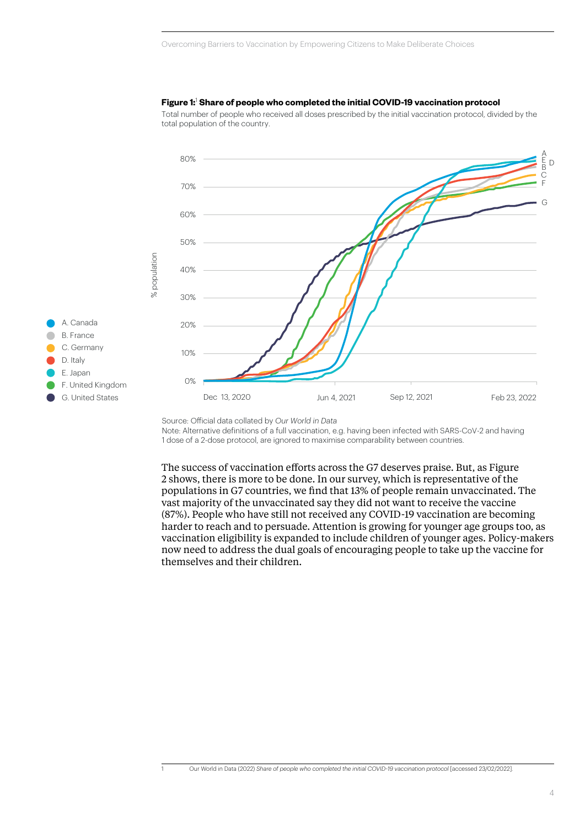

#### Figure 1:<sup>1</sup> Share of people who completed the initial COVID-19 vaccination protocol

Total number of people who received all doses prescribed by the initial vaccination protocol, divided by the total population of the country.

Note: Alternative definitions of a full vaccination, e.g. having been infected with SARS-CoV-2 and having 1 dose of a 2-dose protocol, are ignored to maximise comparability between countries.

The success of vaccination efforts across the G7 deserves praise. But, as Figure 2 shows, there is more to be done. In our survey, which is representative of the populations in G7 countries, we find that 13% of people remain unvaccinated. The vast majority of the unvaccinated say they did not want to receive the vaccine (87%). People who have still not received any COVID-19 vaccination are becoming harder to reach and to persuade. Attention is growing for younger age groups too, as vaccination eligibility is expanded to include children of younger ages. Policy-makers now need to address the dual goals of encouraging people to take up the vaccine for themselves and their children.

Source: Official data collated by Our World in Data

<sup>1</sup> Our World in Data (2022) *[Share of people who completed the initial COVID-19 vaccination protocol](https://ourworldindata.org/grapher/share-people-fully-vaccinated-covid?country=CAN~JPN~ITA~FRA~DEU~GBR~USA)* [accessed 23/02/2022].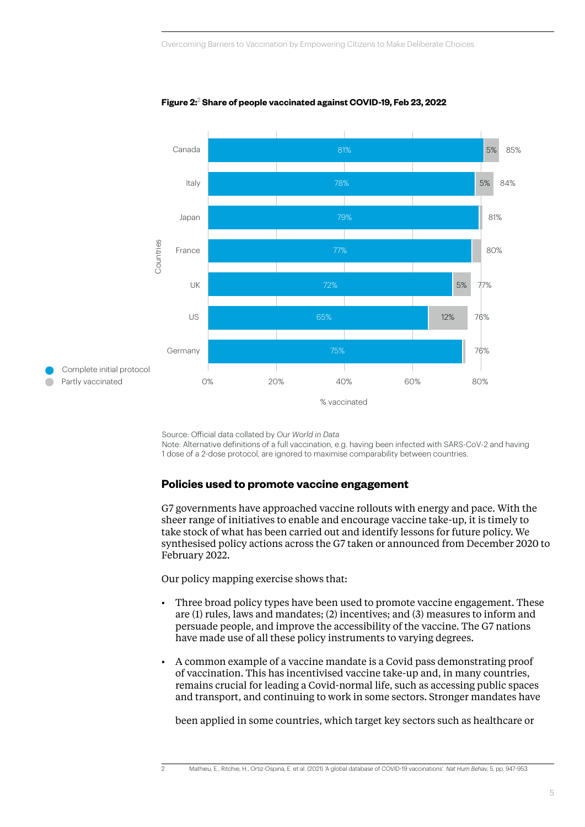

**Figure 2:**<sup>2</sup>  **Share of people vaccinated against COVID-19, Feb 23, 2022 Figure 2: Share of people vaccinated against COVID-19, Feb 23, 2022**

Source: Official data collated by *Our World in Data* 

Note: Alternative definitions of a full vaccination, e.g. having been infected with SARS-CoV-2 and having 1 dose of a 2-dose protocol, are ignored to maximise comparability between countries.

## **Policies used to promote vaccine engagement**

G7 governments have approached vaccine rollouts with energy and pace. With the sheer range of initiatives to enable and encourage vaccine take-up, it is timely to take stock of what has been carried out and identify lessons for future policy. We synthesised policy actions across the G7 taken or announced from December 2020 to February 2022.

Our policy mapping exercise shows that:

- Three broad policy types have been used to promote vaccine engagement. These are (1) rules, laws and mandates; (2) incentives; and (3) measures to inform and persuade people, and improve the accessibility of the vaccine. The G7 nations have made use of all these policy instruments to varying degrees.
- A common example of a vaccine mandate is a Covid pass demonstrating proof of vaccination. This has incentivised vaccine take-up and, in many countries, remains crucial for leading a Covid-normal life, such as accessing public spaces and transport, and continuing to work in some sectors. Stronger mandates have

been applied in some countries, which target key sectors such as healthcare or

2 Mathieu, E., Ritchie, H., Ortiz-Ospina, E. et al. (2021) ['A global database of COVID-19 vaccinations'.](https://doi.org/10.1038/s41562-021-01122-8) *Nat Hum Behav,* 5, pp. 947-953.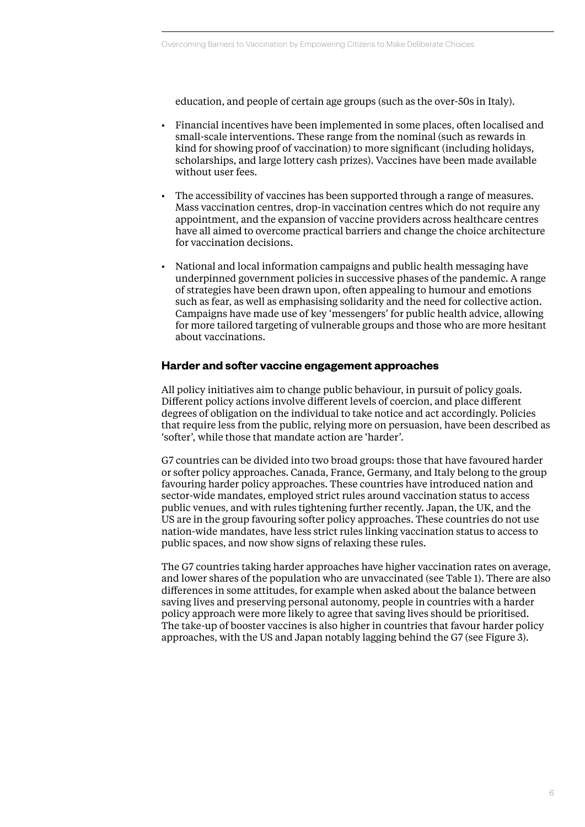education, and people of certain age groups (such as the over-50s in Italy).

- Financial incentives have been implemented in some places, often localised and small-scale interventions. These range from the nominal (such as rewards in kind for showing proof of vaccination) to more significant (including holidays, scholarships, and large lottery cash prizes). Vaccines have been made available without user fees.
- The accessibility of vaccines has been supported through a range of measures. Mass vaccination centres, drop-in vaccination centres which do not require any appointment, and the expansion of vaccine providers across healthcare centres have all aimed to overcome practical barriers and change the choice architecture for vaccination decisions.
- National and local information campaigns and public health messaging have underpinned government policies in successive phases of the pandemic. A range of strategies have been drawn upon, often appealing to humour and emotions such as fear, as well as emphasising solidarity and the need for collective action. Campaigns have made use of key 'messengers' for public health advice, allowing for more tailored targeting of vulnerable groups and those who are more hesitant about vaccinations.

## **Harder and softer vaccine engagement approaches**

All policy initiatives aim to change public behaviour, in pursuit of policy goals. Different policy actions involve different levels of coercion, and place different degrees of obligation on the individual to take notice and act accordingly. Policies that require less from the public, relying more on persuasion, have been described as 'softer', while those that mandate action are 'harder'.

G7 countries can be divided into two broad groups: those that have favoured harder or softer policy approaches. Canada, France, Germany, and Italy belong to the group favouring harder policy approaches. These countries have introduced nation and sector-wide mandates, employed strict rules around vaccination status to access public venues, and with rules tightening further recently. Japan, the UK, and the US are in the group favouring softer policy approaches. These countries do not use nation-wide mandates, have less strict rules linking vaccination status to access to public spaces, and now show signs of relaxing these rules.

The G7 countries taking harder approaches have higher vaccination rates on average, and lower shares of the population who are unvaccinated (see Table 1). There are also differences in some attitudes, for example when asked about the balance between saving lives and preserving personal autonomy, people in countries with a harder policy approach were more likely to agree that saving lives should be prioritised. The take-up of booster vaccines is also higher in countries that favour harder policy approaches, with the US and Japan notably lagging behind the G7 (see Figure 3).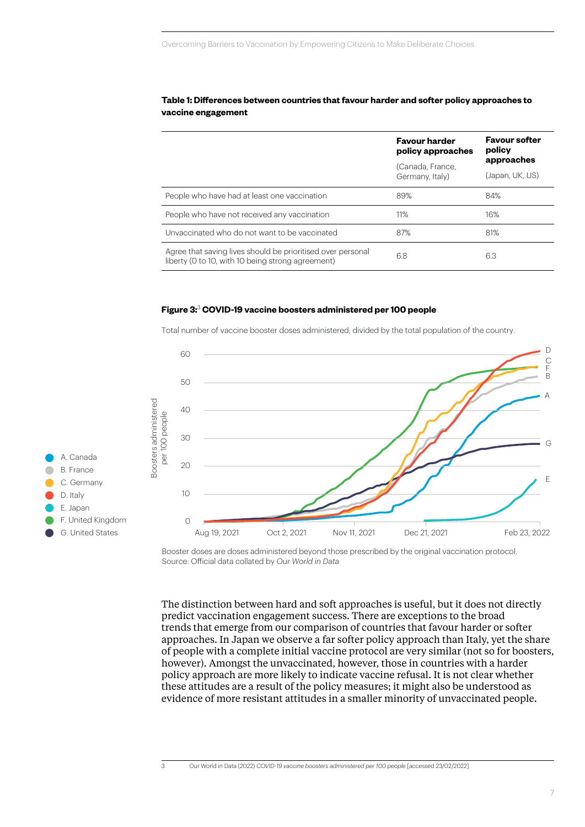#### **Table 1: Differences between countries that favour harder and softer policy approaches to vaccine engagement**

| <b>Favour harder</b><br>policy approaches<br>(Canada, France,<br>Germany, Italy)                                 |     | <b>Favour softer</b><br>policy<br>approaches |
|------------------------------------------------------------------------------------------------------------------|-----|----------------------------------------------|
|                                                                                                                  |     |                                              |
|                                                                                                                  |     | (Japan, UK, US)                              |
| People who have had at least one vaccination                                                                     | 89% | 84%                                          |
| People who have not received any vaccination                                                                     | 11% | 16%                                          |
| Unvaccinated who do not want to be vaccinated                                                                    | 87% | 81%                                          |
| Agree that saving lives should be prioritised over personal<br>liberty (0 to 10, with 10 being strong agreement) | 6.8 | 6.3                                          |

#### **Figure 3:**<sup>3</sup>  **COVID-19 vaccine boosters administered per 100 people Figure 3: COVID-19 vaccine boosters administered per 100 people**

B. France C. Germany D. Italy E. Japan

A. Canada

F. United Kingdom G. United States



Total number of vaccine booster doses administered, divided by the total population of the country.

Booster doses are doses administered beyond those prescribed by the original vaccination protocol. Source: Official data collated by *Our World in Data* 

The distinction between hard and soft approaches is useful, but it does not directly predict vaccination engagement success. There are exceptions to the broad trends that emerge from our comparison of countries that favour harder or softer approaches. In Japan we observe a far softer policy approach than Italy, yet the share of people with a complete initial vaccine protocol are very similar (not so for boosters, however). Amongst the unvaccinated, however, those in countries with a harder policy approach are more likely to indicate vaccine refusal. It is not clear whether these attitudes are a result of the policy measures; it might also be understood as evidence of more resistant attitudes in a smaller minority of unvaccinated people.

3 Our World in Data (2022) *[COVID-19 vaccine boosters administered per 100 people](https://ourworldindata.org/grapher/covid-vaccine-booster-doses-per-capita?country=CAN~ITA~DEU~GBR~USA~FRA~JPN)* [accessed 23/02/2022].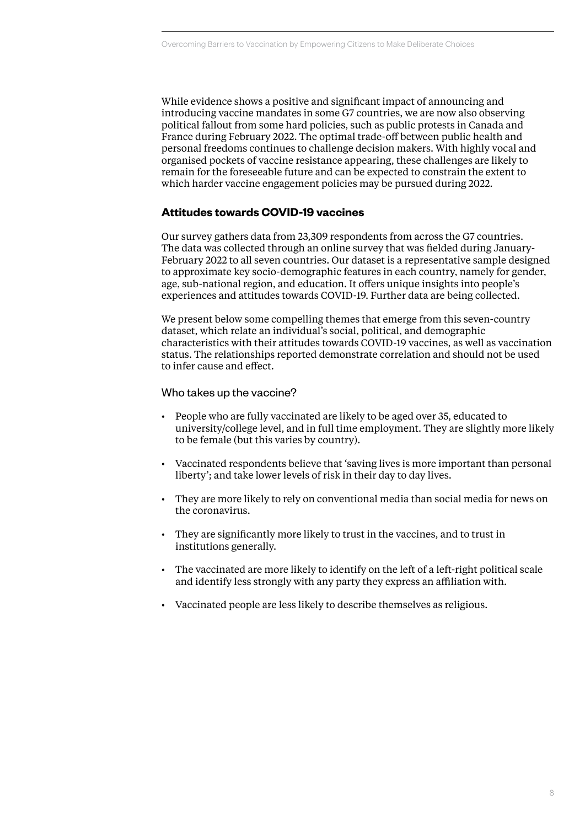While evidence shows a positive and significant impact of announcing and introducing vaccine mandates in some G7 countries, we are now also observing political fallout from some hard policies, such as public protests in Canada and France during February 2022. The optimal trade-off between public health and personal freedoms continues to challenge decision makers. With highly vocal and organised pockets of vaccine resistance appearing, these challenges are likely to remain for the foreseeable future and can be expected to constrain the extent to which harder vaccine engagement policies may be pursued during 2022.

# **Attitudes towards COVID-19 vaccines**

Our survey gathers data from 23,309 respondents from across the G7 countries. The data was collected through an online survey that was fielded during January-February 2022 to all seven countries. Our dataset is a representative sample designed to approximate key socio-demographic features in each country, namely for gender, age, sub-national region, and education. It offers unique insights into people's experiences and attitudes towards COVID-19. Further data are being collected.

We present below some compelling themes that emerge from this seven-country dataset, which relate an individual's social, political, and demographic characteristics with their attitudes towards COVID-19 vaccines, as well as vaccination status. The relationships reported demonstrate correlation and should not be used to infer cause and effect.

## Who takes up the vaccine?

- People who are fully vaccinated are likely to be aged over 35, educated to university/college level, and in full time employment. They are slightly more likely to be female (but this varies by country).
- Vaccinated respondents believe that 'saving lives is more important than personal liberty'; and take lower levels of risk in their day to day lives.
- They are more likely to rely on conventional media than social media for news on the coronavirus.
- They are significantly more likely to trust in the vaccines, and to trust in institutions generally.
- The vaccinated are more likely to identify on the left of a left-right political scale and identify less strongly with any party they express an affiliation with.
- Vaccinated people are less likely to describe themselves as religious.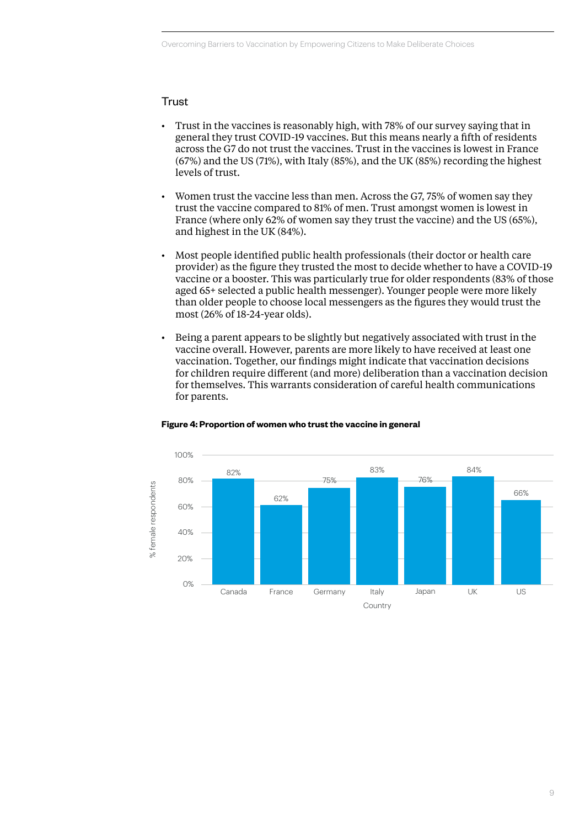# **Trust**

- Trust in the vaccines is reasonably high, with 78% of our survey saying that in general they trust COVID-19 vaccines. But this means nearly a fifth of residents across the G7 do not trust the vaccines. Trust in the vaccines is lowest in France (67%) and the US (71%), with Italy (85%), and the UK (85%) recording the highest levels of trust.
- Women trust the vaccine less than men. Across the G7, 75% of women say they trust the vaccine compared to 81% of men. Trust amongst women is lowest in France (where only 62% of women say they trust the vaccine) and the US (65%), and highest in the UK (84%).
- Most people identified public health professionals (their doctor or health care provider) as the figure they trusted the most to decide whether to have a COVID-19 vaccine or a booster. This was particularly true for older respondents (83% of those aged 65+ selected a public health messenger). Younger people were more likely than older people to choose local messengers as the figures they would trust the most (26% of 18-24-year olds).
- Being a parent appears to be slightly but negatively associated with trust in the vaccine overall. However, parents are more likely to have received at least one vaccination. Together, our findings might indicate that vaccination decisions for children require different (and more) deliberation than a vaccination decision for themselves. This warrants consideration of careful health communications for parents.



# **Figure 4: Proportion of women who trust the vaccine in general Figure 4: Proportion of women who trust the vaccine in general**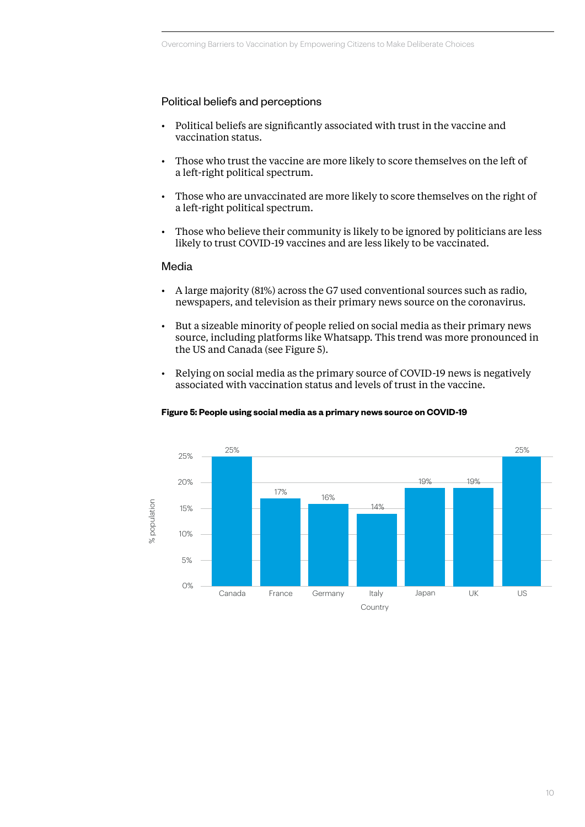# Political beliefs and perceptions

- Political beliefs are significantly associated with trust in the vaccine and vaccination status.
- Those who trust the vaccine are more likely to score themselves on the left of a left-right political spectrum.
- Those who are unvaccinated are more likely to score themselves on the right of a left-right political spectrum.
- Those who believe their community is likely to be ignored by politicians are less likely to trust COVID-19 vaccines and are less likely to be vaccinated.

#### Media

- A large majority (81%) across the G7 used conventional sources such as radio, newspapers, and television as their primary news source on the coronavirus.
- But a sizeable minority of people relied on social media as their primary news source, including platforms like Whatsapp. This trend was more pronounced in the US and Canada (see Figure 5).
- Relying on social media as the primary source of COVID-19 news is negatively associated with vaccination status and levels of trust in the vaccine.

#### **Figure 5: People using social media as a primary news source on COVID-19 Figure 5: People using social media as a primary news source on COVID-19**

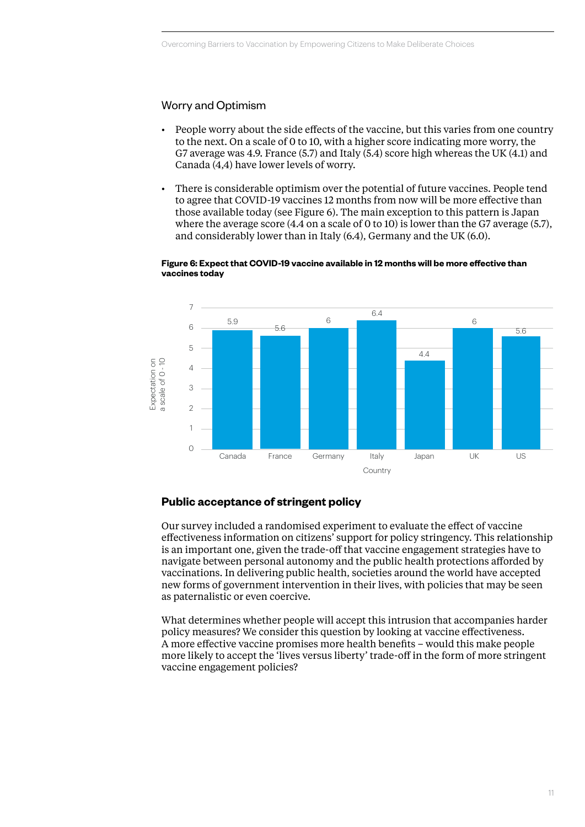# Worry and Optimism

- People worry about the side effects of the vaccine, but this varies from one country to the next. On a scale of 0 to 10, with a higher score indicating more worry, the G7 average was 4.9. France (5.7) and Italy (5.4) score high whereas the UK (4.1) and Canada (4,4) have lower levels of worry.
- There is considerable optimism over the potential of future vaccines. People tend to agree that COVID-19 vaccines 12 months from now will be more effective than those available today (see Figure 6). The main exception to this pattern is Japan where the average score (4.4 on a scale of 0 to 10) is lower than the G7 average (5.7), and considerably lower than in Italy (6.4), Germany and the UK (6.0).



#### **Figure 6: Expect that COVID-19 vaccine available in 12 months will be more effective than vaccines today Figure 6: Expect that COVID-19 will be more effective than vaccines today**

# **Public acceptance of stringent policy**

Our survey included a randomised experiment to evaluate the effect of vaccine effectiveness information on citizens' support for policy stringency. This relationship is an important one, given the trade-off that vaccine engagement strategies have to navigate between personal autonomy and the public health protections afforded by vaccinations. In delivering public health, societies around the world have accepted new forms of government intervention in their lives, with policies that may be seen as paternalistic or even coercive.

What determines whether people will accept this intrusion that accompanies harder policy measures? We consider this question by looking at vaccine effectiveness. A more effective vaccine promises more health benefits – would this make people more likely to accept the 'lives versus liberty' trade-off in the form of more stringent vaccine engagement policies?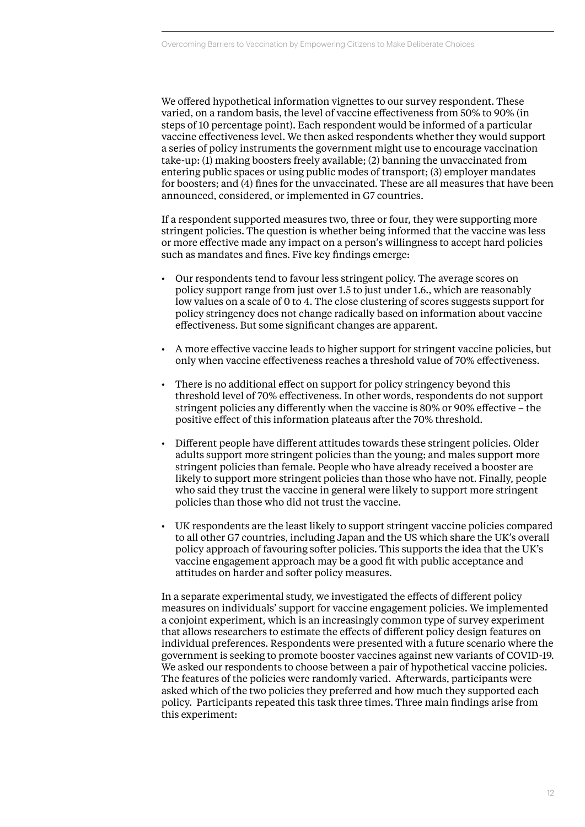We offered hypothetical information vignettes to our survey respondent. These varied, on a random basis, the level of vaccine effectiveness from 50% to 90% (in steps of 10 percentage point). Each respondent would be informed of a particular vaccine effectiveness level. We then asked respondents whether they would support a series of policy instruments the government might use to encourage vaccination take-up: (1) making boosters freely available; (2) banning the unvaccinated from entering public spaces or using public modes of transport; (3) employer mandates for boosters; and (4) fines for the unvaccinated. These are all measures that have been announced, considered, or implemented in G7 countries.

If a respondent supported measures two, three or four, they were supporting more stringent policies. The question is whether being informed that the vaccine was less or more effective made any impact on a person's willingness to accept hard policies such as mandates and fines. Five key findings emerge:

- Our respondents tend to favour less stringent policy. The average scores on policy support range from just over 1.5 to just under 1.6., which are reasonably low values on a scale of 0 to 4. The close clustering of scores suggests support for policy stringency does not change radically based on information about vaccine effectiveness. But some significant changes are apparent.
- A more effective vaccine leads to higher support for stringent vaccine policies, but only when vaccine effectiveness reaches a threshold value of 70% effectiveness.
- There is no additional effect on support for policy stringency beyond this threshold level of 70% effectiveness. In other words, respondents do not support stringent policies any differently when the vaccine is 80% or 90% effective – the positive effect of this information plateaus after the 70% threshold.
- Different people have different attitudes towards these stringent policies. Older adults support more stringent policies than the young; and males support more stringent policies than female. People who have already received a booster are likely to support more stringent policies than those who have not. Finally, people who said they trust the vaccine in general were likely to support more stringent policies than those who did not trust the vaccine.
- UK respondents are the least likely to support stringent vaccine policies compared to all other G7 countries, including Japan and the US which share the UK's overall policy approach of favouring softer policies. This supports the idea that the UK's vaccine engagement approach may be a good fit with public acceptance and attitudes on harder and softer policy measures.

In a separate experimental study, we investigated the effects of different policy measures on individuals' support for vaccine engagement policies. We implemented a conjoint experiment, which is an increasingly common type of survey experiment that allows researchers to estimate the effects of different policy design features on individual preferences. Respondents were presented with a future scenario where the government is seeking to promote booster vaccines against new variants of COVID-19. We asked our respondents to choose between a pair of hypothetical vaccine policies. The features of the policies were randomly varied. Afterwards, participants were asked which of the two policies they preferred and how much they supported each policy. Participants repeated this task three times. Three main findings arise from this experiment: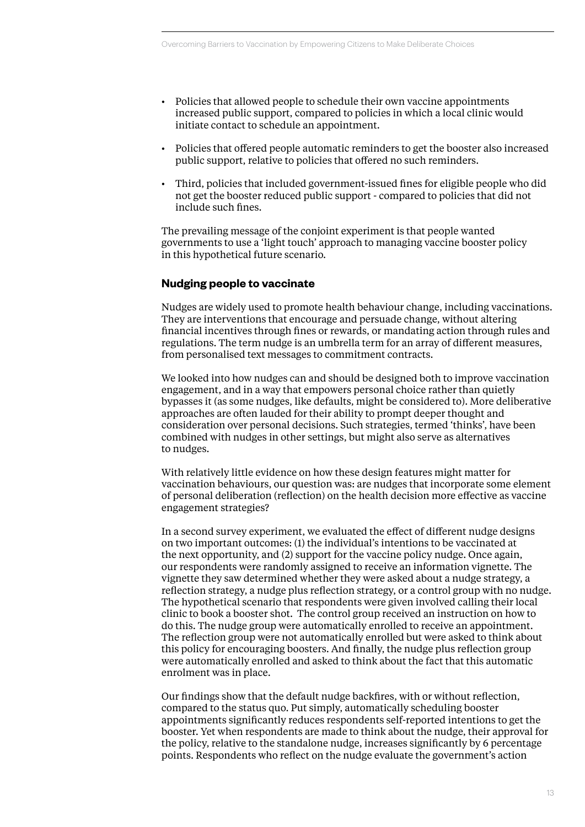- Policies that allowed people to schedule their own vaccine appointments increased public support, compared to policies in which a local clinic would initiate contact to schedule an appointment.
- Policies that offered people automatic reminders to get the booster also increased public support, relative to policies that offered no such reminders.
- Third, policies that included government-issued fines for eligible people who did not get the booster reduced public support - compared to policies that did not include such fines.

The prevailing message of the conjoint experiment is that people wanted governments to use a 'light touch' approach to managing vaccine booster policy in this hypothetical future scenario.

## **Nudging people to vaccinate**

Nudges are widely used to promote health behaviour change, including vaccinations. They are interventions that encourage and persuade change, without altering financial incentives through fines or rewards, or mandating action through rules and regulations. The term nudge is an umbrella term for an array of different measures, from personalised text messages to commitment contracts.

We looked into how nudges can and should be designed both to improve vaccination engagement, and in a way that empowers personal choice rather than quietly bypasses it (as some nudges, like defaults, might be considered to). More deliberative approaches are often lauded for their ability to prompt deeper thought and consideration over personal decisions. Such strategies, termed 'thinks', have been combined with nudges in other settings, but might also serve as alternatives to nudges.

With relatively little evidence on how these design features might matter for vaccination behaviours, our question was: are nudges that incorporate some element of personal deliberation (reflection) on the health decision more effective as vaccine engagement strategies?

In a second survey experiment, we evaluated the effect of different nudge designs on two important outcomes: (1) the individual's intentions to be vaccinated at the next opportunity, and (2) support for the vaccine policy nudge. Once again, our respondents were randomly assigned to receive an information vignette. The vignette they saw determined whether they were asked about a nudge strategy, a reflection strategy, a nudge plus reflection strategy, or a control group with no nudge. The hypothetical scenario that respondents were given involved calling their local clinic to book a booster shot. The control group received an instruction on how to do this. The nudge group were automatically enrolled to receive an appointment. The reflection group were not automatically enrolled but were asked to think about this policy for encouraging boosters. And finally, the nudge plus reflection group were automatically enrolled and asked to think about the fact that this automatic enrolment was in place.

Our findings show that the default nudge backfires, with or without reflection, compared to the status quo. Put simply, automatically scheduling booster appointments significantly reduces respondents self-reported intentions to get the booster. Yet when respondents are made to think about the nudge, their approval for the policy, relative to the standalone nudge, increases significantly by 6 percentage points. Respondents who reflect on the nudge evaluate the government's action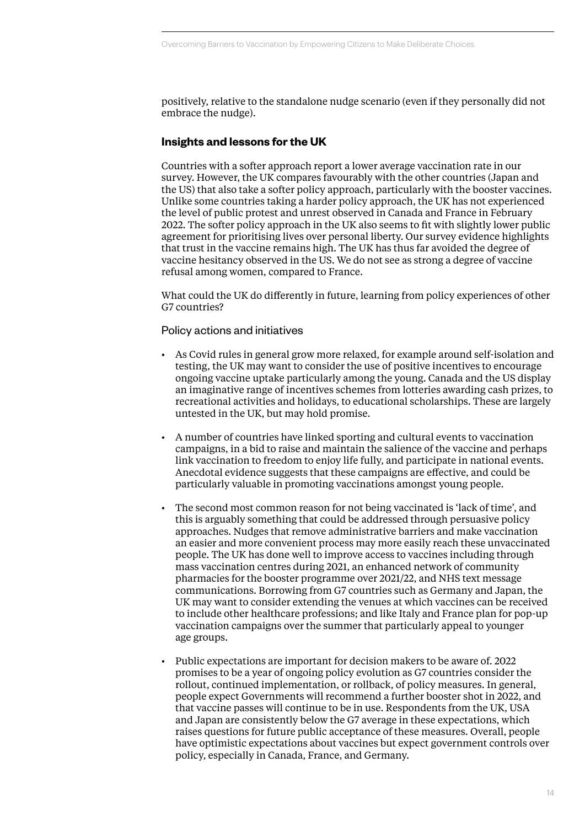positively, relative to the standalone nudge scenario (even if they personally did not embrace the nudge).

## **Insights and lessons for the UK**

Countries with a softer approach report a lower average vaccination rate in our survey. However, the UK compares favourably with the other countries (Japan and the US) that also take a softer policy approach, particularly with the booster vaccines. Unlike some countries taking a harder policy approach, the UK has not experienced the level of public protest and unrest observed in Canada and France in February 2022. The softer policy approach in the UK also seems to fit with slightly lower public agreement for prioritising lives over personal liberty. Our survey evidence highlights that trust in the vaccine remains high. The UK has thus far avoided the degree of vaccine hesitancy observed in the US. We do not see as strong a degree of vaccine refusal among women, compared to France.

What could the UK do differently in future, learning from policy experiences of other G7 countries?

## Policy actions and initiatives

- As Covid rules in general grow more relaxed, for example around self-isolation and testing, the UK may want to consider the use of positive incentives to encourage ongoing vaccine uptake particularly among the young. Canada and the US display an imaginative range of incentives schemes from lotteries awarding cash prizes, to recreational activities and holidays, to educational scholarships. These are largely untested in the UK, but may hold promise.
- A number of countries have linked sporting and cultural events to vaccination campaigns, in a bid to raise and maintain the salience of the vaccine and perhaps link vaccination to freedom to enjoy life fully, and participate in national events. Anecdotal evidence suggests that these campaigns are effective, and could be particularly valuable in promoting vaccinations amongst young people.
- The second most common reason for not being vaccinated is 'lack of time', and this is arguably something that could be addressed through persuasive policy approaches. Nudges that remove administrative barriers and make vaccination an easier and more convenient process may more easily reach these unvaccinated people. The UK has done well to improve access to vaccines including through mass vaccination centres during 2021, an enhanced network of community pharmacies for the booster programme over 2021/22, and NHS text message communications. Borrowing from G7 countries such as Germany and Japan, the UK may want to consider extending the venues at which vaccines can be received to include other healthcare professions; and like Italy and France plan for pop-up vaccination campaigns over the summer that particularly appeal to younger age groups.
- Public expectations are important for decision makers to be aware of. 2022 promises to be a year of ongoing policy evolution as G7 countries consider the rollout, continued implementation, or rollback, of policy measures. In general, people expect Governments will recommend a further booster shot in 2022, and that vaccine passes will continue to be in use. Respondents from the UK, USA and Japan are consistently below the G7 average in these expectations, which raises questions for future public acceptance of these measures. Overall, people have optimistic expectations about vaccines but expect government controls over policy, especially in Canada, France, and Germany.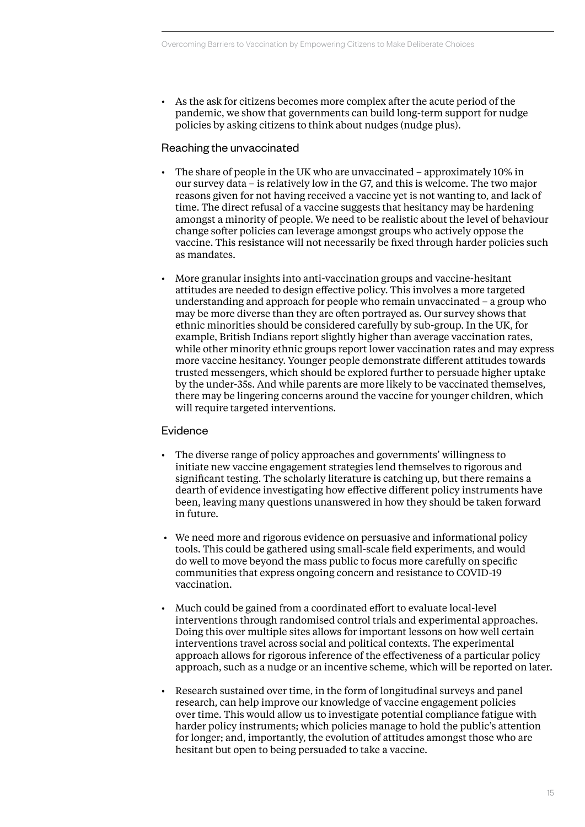• As the ask for citizens becomes more complex after the acute period of the pandemic, we show that governments can build long-term support for nudge policies by asking citizens to think about nudges (nudge plus).

## Reaching the unvaccinated

- The share of people in the UK who are unvaccinated approximately 10% in our survey data – is relatively low in the G7, and this is welcome. The two major reasons given for not having received a vaccine yet is not wanting to, and lack of time. The direct refusal of a vaccine suggests that hesitancy may be hardening amongst a minority of people. We need to be realistic about the level of behaviour change softer policies can leverage amongst groups who actively oppose the vaccine. This resistance will not necessarily be fixed through harder policies such as mandates.
- More granular insights into anti-vaccination groups and vaccine-hesitant attitudes are needed to design effective policy. This involves a more targeted understanding and approach for people who remain unvaccinated – a group who may be more diverse than they are often portrayed as. Our survey shows that ethnic minorities should be considered carefully by sub-group. In the UK, for example, British Indians report slightly higher than average vaccination rates, while other minority ethnic groups report lower vaccination rates and may express more vaccine hesitancy. Younger people demonstrate different attitudes towards trusted messengers, which should be explored further to persuade higher uptake by the under-35s. And while parents are more likely to be vaccinated themselves, there may be lingering concerns around the vaccine for younger children, which will require targeted interventions.

## **Evidence**

- The diverse range of policy approaches and governments' willingness to initiate new vaccine engagement strategies lend themselves to rigorous and significant testing. The scholarly literature is catching up, but there remains a dearth of evidence investigating how effective different policy instruments have been, leaving many questions unanswered in how they should be taken forward in future.
- We need more and rigorous evidence on persuasive and informational policy tools. This could be gathered using small-scale field experiments, and would do well to move beyond the mass public to focus more carefully on specific communities that express ongoing concern and resistance to COVID-19 vaccination.
- Much could be gained from a coordinated effort to evaluate local-level interventions through randomised control trials and experimental approaches. Doing this over multiple sites allows for important lessons on how well certain interventions travel across social and political contexts. The experimental approach allows for rigorous inference of the effectiveness of a particular policy approach, such as a nudge or an incentive scheme, which will be reported on later.
- Research sustained over time, in the form of longitudinal surveys and panel research, can help improve our knowledge of vaccine engagement policies over time. This would allow us to investigate potential compliance fatigue with harder policy instruments; which policies manage to hold the public's attention for longer; and, importantly, the evolution of attitudes amongst those who are hesitant but open to being persuaded to take a vaccine.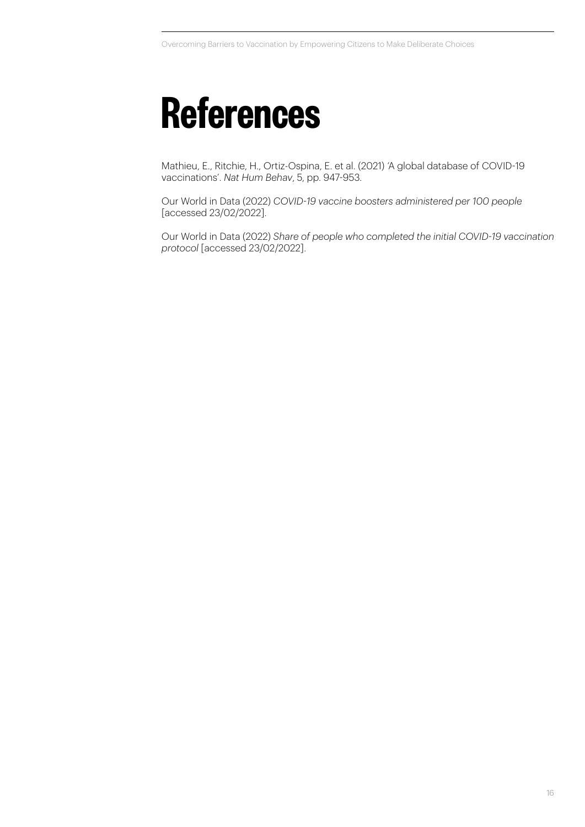# **References**

Mathieu, E., Ritchie, H., Ortiz-Ospina, E. et al. (2021) ['A global database of COVID-19](https://doi.org/10.1038/s41562-021-01122-8)  vaccinations'. *[Nat Hum Behav](https://doi.org/10.1038/s41562-021-01122-8)*, 5, pp. 947-953.

Our World in Data (2022) *[COVID-19 vaccine boosters administered per 100 people](https://ourworldindata.org/grapher/covid-vaccine-booster-doses-per-capita?country=CAN~ITA~DEU~GBR~USA~FRA~JPN)*  [accessed 23/02/2022].

Our World in Data (2022) *[Share of people who completed the initial COVID-19 vaccination](https://ourworldindata.org/grapher/share-people-fully-vaccinated-covid?country=CAN~JPN~ITA~FRA~DEU~GBR~USA) [protocol](https://ourworldindata.org/grapher/share-people-fully-vaccinated-covid?country=CAN~JPN~ITA~FRA~DEU~GBR~USA)* [accessed 23/02/2022].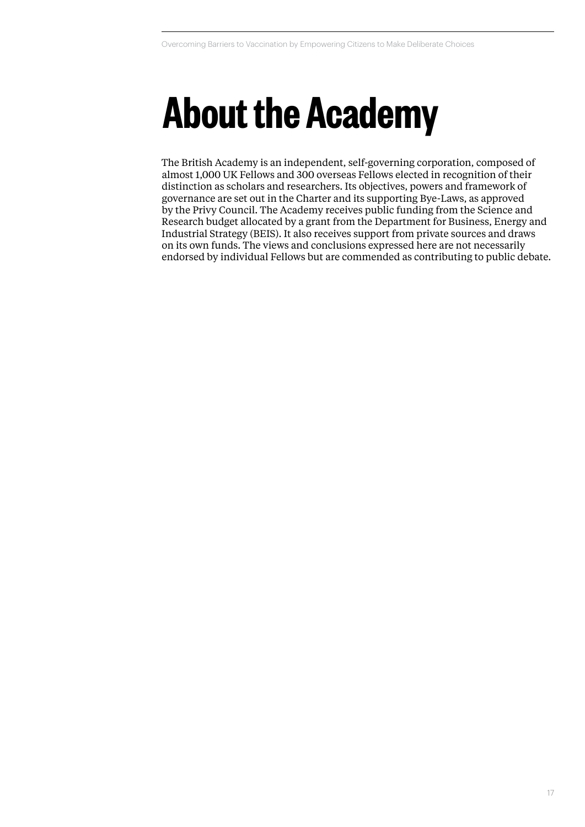# **About the Academy**

The British Academy is an independent, self-governing corporation, composed of almost 1,000 UK Fellows and 300 overseas Fellows elected in recognition of their distinction as scholars and researchers. Its objectives, powers and framework of governance are set out in the Charter and its supporting Bye-Laws, as approved by the Privy Council. The Academy receives public funding from the Science and Research budget allocated by a grant from the Department for Business, Energy and Industrial Strategy (BEIS). It also receives support from private sources and draws on its own funds. The views and conclusions expressed here are not necessarily endorsed by individual Fellows but are commended as contributing to public debate.